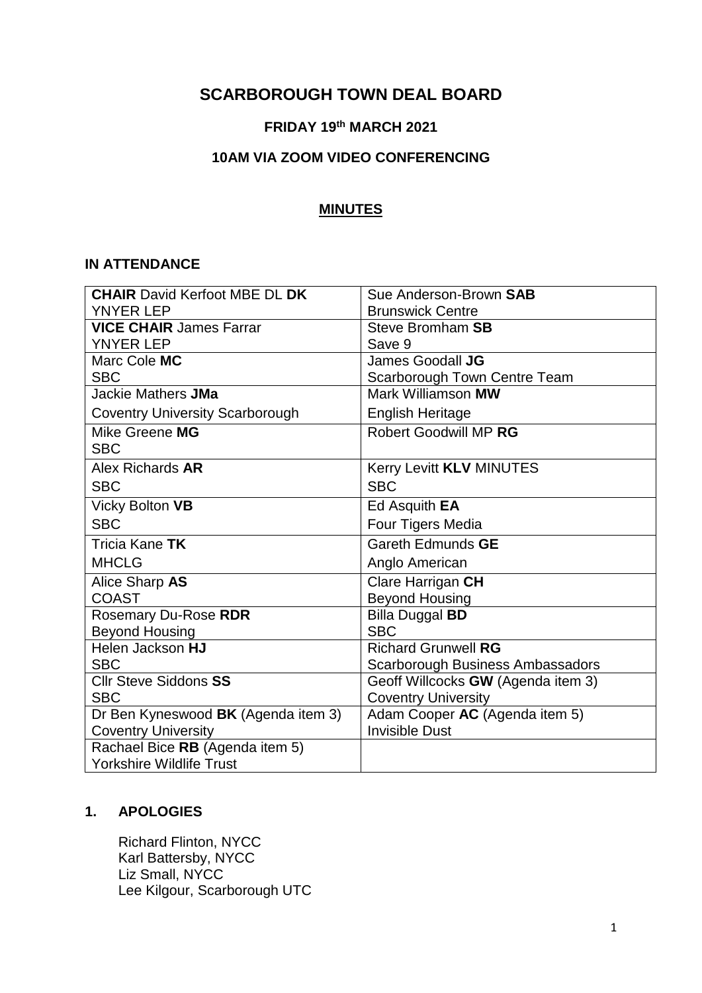# **SCARBOROUGH TOWN DEAL BOARD**

# **FRIDAY 19th MARCH 2021**

## **10AM VIA ZOOM VIDEO CONFERENCING**

### **MINUTES**

#### **IN ATTENDANCE**

| <b>CHAIR David Kerfoot MBE DL DK</b>   | Sue Anderson-Brown SAB                  |
|----------------------------------------|-----------------------------------------|
| <b>YNYER LEP</b>                       | <b>Brunswick Centre</b>                 |
| <b>VICE CHAIR James Farrar</b>         | <b>Steve Bromham SB</b>                 |
| <b>YNYER LEP</b>                       | Save 9                                  |
| Marc Cole MC                           | James Goodall JG                        |
| <b>SBC</b>                             | Scarborough Town Centre Team            |
| Jackie Mathers JMa                     | Mark Williamson MW                      |
| <b>Coventry University Scarborough</b> | <b>English Heritage</b>                 |
| Mike Greene MG                         | Robert Goodwill MP RG                   |
| <b>SBC</b>                             |                                         |
| Alex Richards AR                       | Kerry Levitt KLV MINUTES                |
| <b>SBC</b>                             | <b>SBC</b>                              |
| Vicky Bolton VB                        | Ed Asquith <b>EA</b>                    |
| <b>SBC</b>                             | Four Tigers Media                       |
| Tricia Kane TK                         | Gareth Edmunds GE                       |
| <b>MHCLG</b>                           | Anglo American                          |
| Alice Sharp AS                         | Clare Harrigan CH                       |
| <b>COAST</b>                           | <b>Beyond Housing</b>                   |
| Rosemary Du-Rose RDR                   | <b>Billa Duggal BD</b>                  |
| <b>Beyond Housing</b>                  | <b>SBC</b>                              |
| Helen Jackson HJ                       | <b>Richard Grunwell RG</b>              |
| <b>SBC</b>                             | <b>Scarborough Business Ambassadors</b> |
| <b>Cllr Steve Siddons SS</b>           | Geoff Willcocks GW (Agenda item 3)      |
| <b>SBC</b>                             | <b>Coventry University</b>              |
| Dr Ben Kyneswood BK (Agenda item 3)    | Adam Cooper AC (Agenda item 5)          |
| <b>Coventry University</b>             | <b>Invisible Dust</b>                   |
| Rachael Bice RB (Agenda item 5)        |                                         |
| <b>Yorkshire Wildlife Trust</b>        |                                         |

### **1. APOLOGIES**

Richard Flinton, NYCC Karl Battersby, NYCC Liz Small, NYCC Lee Kilgour, Scarborough UTC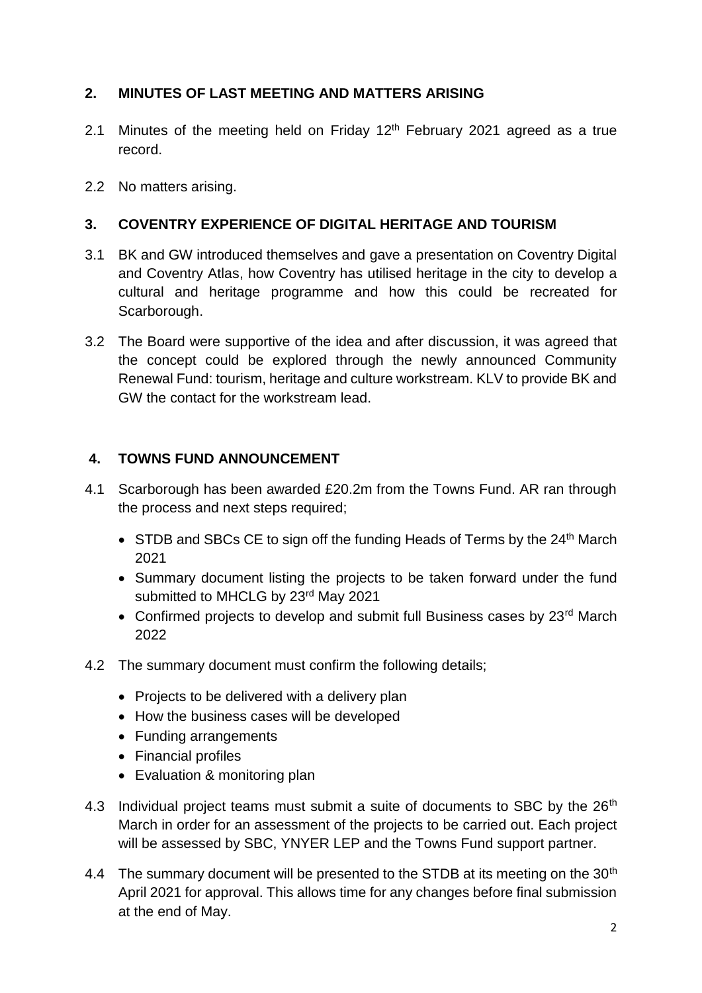# **2. MINUTES OF LAST MEETING AND MATTERS ARISING**

- 2.1 Minutes of the meeting held on Friday  $12<sup>th</sup>$  February 2021 agreed as a true record.
- 2.2 No matters arising.

## **3. COVENTRY EXPERIENCE OF DIGITAL HERITAGE AND TOURISM**

- 3.1 BK and GW introduced themselves and gave a presentation on Coventry Digital and Coventry Atlas, how Coventry has utilised heritage in the city to develop a cultural and heritage programme and how this could be recreated for Scarborough.
- 3.2 The Board were supportive of the idea and after discussion, it was agreed that the concept could be explored through the newly announced Community Renewal Fund: tourism, heritage and culture workstream. KLV to provide BK and GW the contact for the workstream lead.

## **4. TOWNS FUND ANNOUNCEMENT**

- 4.1 Scarborough has been awarded £20.2m from the Towns Fund. AR ran through the process and next steps required;
	- $\bullet$  STDB and SBCs CE to sign off the funding Heads of Terms by the 24<sup>th</sup> March 2021
	- Summary document listing the projects to be taken forward under the fund submitted to MHCLG by 23rd May 2021
	- Confirmed projects to develop and submit full Business cases by 23<sup>rd</sup> March 2022
- 4.2 The summary document must confirm the following details;
	- Projects to be delivered with a delivery plan
	- How the business cases will be developed
	- Funding arrangements
	- Financial profiles
	- Evaluation & monitoring plan
- 4.3 Individual project teams must submit a suite of documents to SBC by the 26<sup>th</sup> March in order for an assessment of the projects to be carried out. Each project will be assessed by SBC, YNYER LEP and the Towns Fund support partner.
- 4.4 The summary document will be presented to the STDB at its meeting on the 30<sup>th</sup> April 2021 for approval. This allows time for any changes before final submission at the end of May.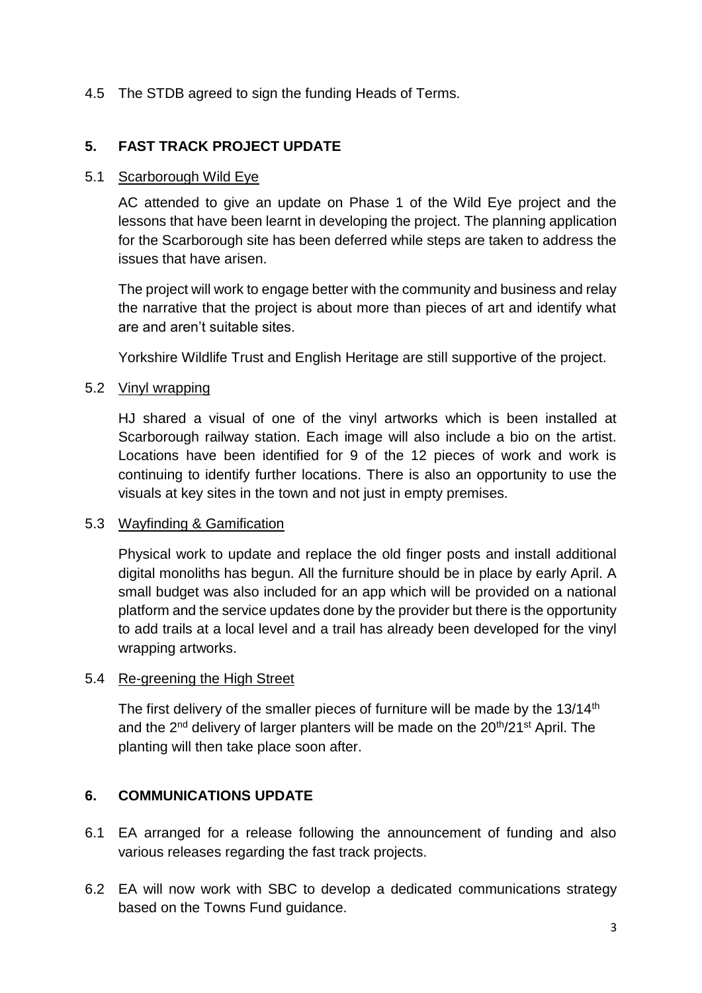## 4.5 The STDB agreed to sign the funding Heads of Terms.

## **5. FAST TRACK PROJECT UPDATE**

#### 5.1 Scarborough Wild Eye

AC attended to give an update on Phase 1 of the Wild Eye project and the lessons that have been learnt in developing the project. The planning application for the Scarborough site has been deferred while steps are taken to address the issues that have arisen.

The project will work to engage better with the community and business and relay the narrative that the project is about more than pieces of art and identify what are and aren't suitable sites.

Yorkshire Wildlife Trust and English Heritage are still supportive of the project.

### 5.2 Vinyl wrapping

HJ shared a visual of one of the vinyl artworks which is been installed at Scarborough railway station. Each image will also include a bio on the artist. Locations have been identified for 9 of the 12 pieces of work and work is continuing to identify further locations. There is also an opportunity to use the visuals at key sites in the town and not just in empty premises.

## 5.3 Wayfinding & Gamification

Physical work to update and replace the old finger posts and install additional digital monoliths has begun. All the furniture should be in place by early April. A small budget was also included for an app which will be provided on a national platform and the service updates done by the provider but there is the opportunity to add trails at a local level and a trail has already been developed for the vinyl wrapping artworks.

#### 5.4 Re-greening the High Street

The first delivery of the smaller pieces of furniture will be made by the  $13/14<sup>th</sup>$ and the 2<sup>nd</sup> delivery of larger planters will be made on the 20<sup>th</sup>/21<sup>st</sup> April. The planting will then take place soon after.

## **6. COMMUNICATIONS UPDATE**

- 6.1 EA arranged for a release following the announcement of funding and also various releases regarding the fast track projects.
- 6.2 EA will now work with SBC to develop a dedicated communications strategy based on the Towns Fund guidance.